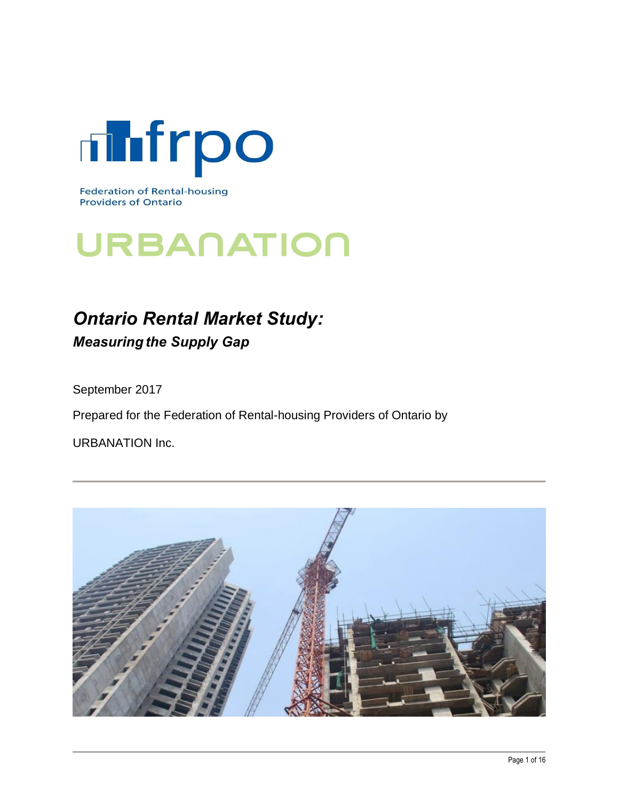

**Federation of Rental-housing Providers of Ontario** 

# URBANATION

# *Ontario Rental Market Study:* **Measuring the Supply Gap**

September 2017

Prepared for the Federation of Rental-housing Providers of Ontario by

URBANATION Inc.

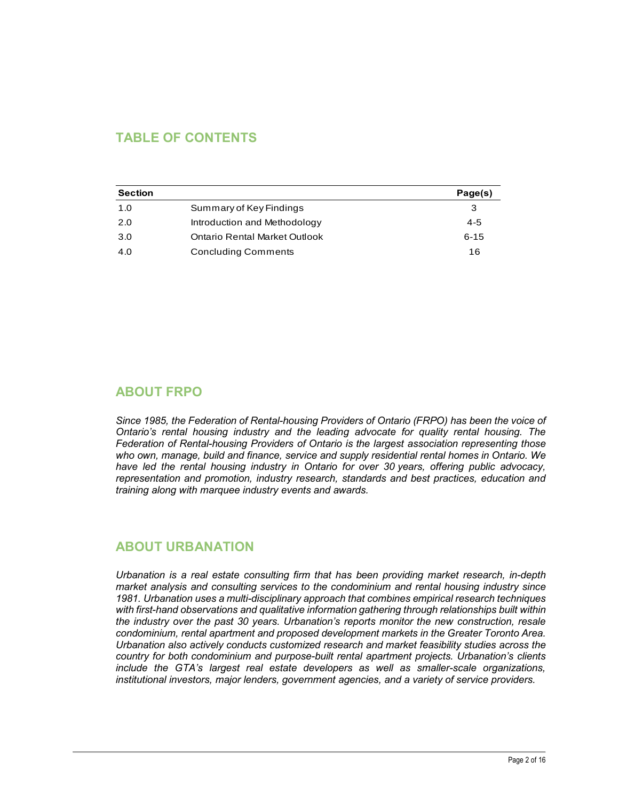# **TABLE OF CONTENTS**

| <b>Section</b> |                               | Page(s)  |  |  |
|----------------|-------------------------------|----------|--|--|
| 1.0            | Summary of Key Findings       | 3        |  |  |
| 2.0            | Introduction and Methodology  | 4-5      |  |  |
| 3.0            | Ontario Rental Market Outlook | $6 - 15$ |  |  |
| 4.0            | <b>Concluding Comments</b>    | 16       |  |  |

## **ABOUT FRPO**

*Since 1985, the Federation of Rental-housing Providers of Ontario (FRPO) has been the voice of Ontario's rental housing industry and the leading advocate for quality rental housing. The Federation of Rental-housing Providers of Ontario is the largest association representing those who own, manage, build and finance, service and supply residential rental homes in Ontario. We have led the rental housing industry in Ontario for over 30 years, offering public advocacy, representation and promotion, industry research, standards and best practices, education and training along with marquee industry events and awards.*

## **ABOUT URBANATION**

*Urbanation is a real estate consulting firm that has been providing market research, in-depth market analysis and consulting services to the condominium and rental housing industry since 1981. Urbanation uses a multi-disciplinary approach that combines empirical research techniques with first-hand observations and qualitative information gathering through relationships built within the industry over the past 30 years. Urbanation's reports monitor the new construction, resale condominium, rental apartment and proposed development markets in the Greater Toronto Area. Urbanation also actively conducts customized research and market feasibility studies across the country for both condominium and purpose-built rental apartment projects. Urbanation's clients include the GTA's largest real estate developers as well as smaller-scale organizations, institutional investors, major lenders, government agencies, and a variety of service providers.*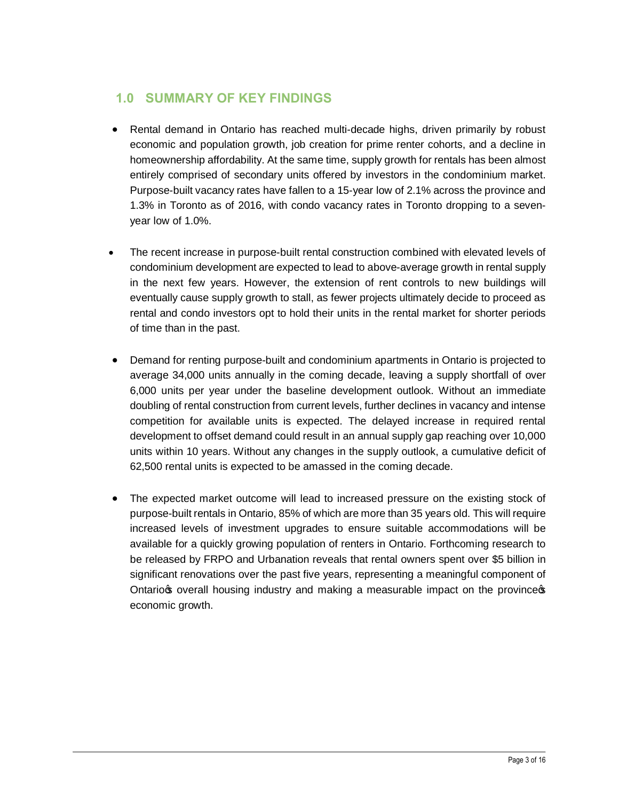# **1.0 SUMMARY OF KEY FINDINGS**

- Rental demand in Ontario has reached multi-decade highs, driven primarily by robust economic and population growth, job creation for prime renter cohorts, and a decline in homeownership affordability. At the same time, supply growth for rentals has been almost entirely comprised of secondary units offered by investors in the condominium market. Purpose-built vacancy rates have fallen to a 15-year low of 2.1% across the province and 1.3% in Toronto as of 2016, with condo vacancy rates in Toronto dropping to a sevenyear low of 1.0%.
- · The recent increase in purpose-built rental construction combined with elevated levels of condominium development are expected to lead to above-average growth in rental supply in the next few years. However, the extension of rent controls to new buildings will eventually cause supply growth to stall, as fewer projects ultimately decide to proceed as rental and condo investors opt to hold their units in the rental market for shorter periods of time than in the past.
- Demand for renting purpose-built and condominium apartments in Ontario is projected to average 34,000 units annually in the coming decade, leaving a supply shortfall of over 6,000 units per year under the baseline development outlook. Without an immediate doubling of rental construction from current levels, further declines in vacancy and intense competition for available units is expected. The delayed increase in required rental development to offset demand could result in an annual supply gap reaching over 10,000 units within 10 years. Without any changes in the supply outlook, a cumulative deficit of 62,500 rental units is expected to be amassed in the coming decade.
- The expected market outcome will lead to increased pressure on the existing stock of purpose-built rentals in Ontario, 85% of which are more than 35 years old. This will require increased levels of investment upgrades to ensure suitable accommodations will be available for a quickly growing population of renters in Ontario. Forthcoming research to be released by FRPO and Urbanation reveals that rental owners spent over \$5 billion in significant renovations over the past five years, representing a meaningful component of Ontario to overall housing industry and making a measurable impact on the province economic growth.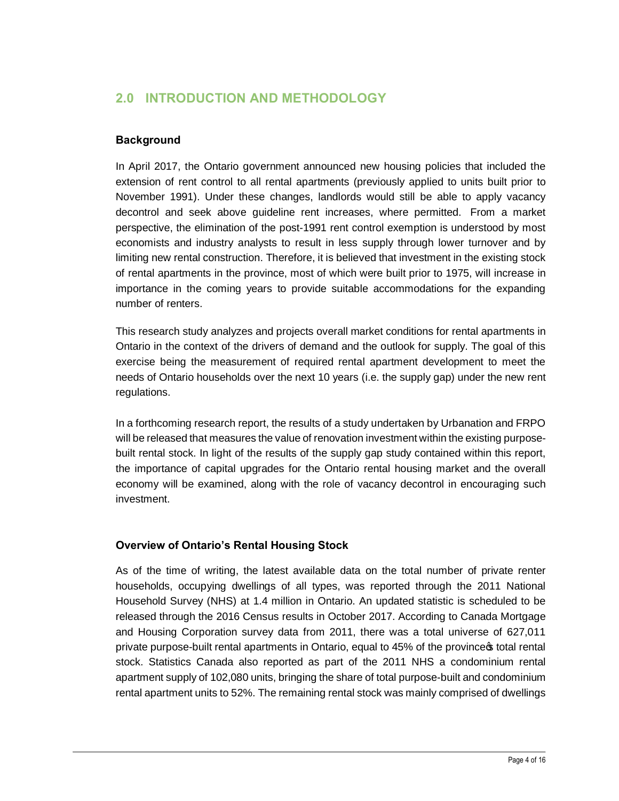# **2.0 INTRODUCTION AND METHODOLOGY**

#### **Background**

In April 2017, the Ontario government announced new housing policies that included the extension of rent control to all rental apartments (previously applied to units built prior to November 1991). Under these changes, landlords would still be able to apply vacancy decontrol and seek above guideline rent increases, where permitted. From a market perspective, the elimination of the post-1991 rent control exemption is understood by most economists and industry analysts to result in less supply through lower turnover and by limiting new rental construction. Therefore, it is believed that investment in the existing stock of rental apartments in the province, most of which were built prior to 1975, will increase in importance in the coming years to provide suitable accommodations for the expanding number of renters.

This research study analyzes and projects overall market conditions for rental apartments in Ontario in the context of the drivers of demand and the outlook for supply. The goal of this exercise being the measurement of required rental apartment development to meet the needs of Ontario households over the next 10 years (i.e. the supply gap) under the new rent regulations.

In a forthcoming research report, the results of a study undertaken by Urbanation and FRPO will be released that measures the value of renovation investment within the existing purposebuilt rental stock. In light of the results of the supply gap study contained within this report, the importance of capital upgrades for the Ontario rental housing market and the overall economy will be examined, along with the role of vacancy decontrol in encouraging such investment.

#### **Overview of Ontario's Rental Housing Stock**

As of the time of writing, the latest available data on the total number of private renter households, occupying dwellings of all types, was reported through the 2011 National Household Survey (NHS) at 1.4 million in Ontario. An updated statistic is scheduled to be released through the 2016 Census results in October 2017. According to Canada Mortgage and Housing Corporation survey data from 2011, there was a total universe of 627,011 private purpose-built rental apartments in Ontario, equal to 45% of the province total rental stock. Statistics Canada also reported as part of the 2011 NHS a condominium rental apartment supply of 102,080 units, bringing the share of total purpose-built and condominium rental apartment units to 52%. The remaining rental stock was mainly comprised of dwellings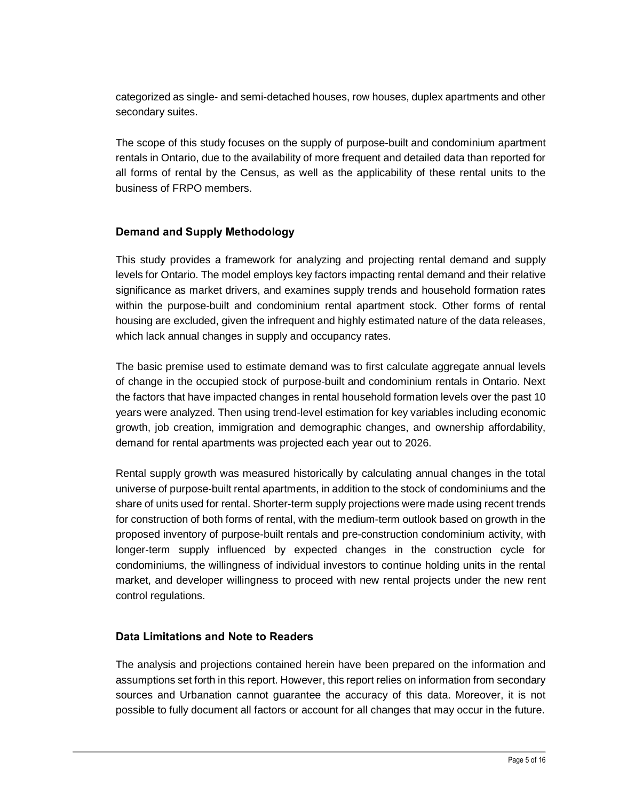categorized as single- and semi-detached houses, row houses, duplex apartments and other secondary suites.

The scope of this study focuses on the supply of purpose-built and condominium apartment rentals in Ontario, due to the availability of more frequent and detailed data than reported for all forms of rental by the Census, as well as the applicability of these rental units to the business of FRPO members.

#### **Demand and Supply Methodology**

This study provides a framework for analyzing and projecting rental demand and supply levels for Ontario. The model employs key factors impacting rental demand and their relative significance as market drivers, and examines supply trends and household formation rates within the purpose-built and condominium rental apartment stock. Other forms of rental housing are excluded, given the infrequent and highly estimated nature of the data releases, which lack annual changes in supply and occupancy rates.

The basic premise used to estimate demand was to first calculate aggregate annual levels of change in the occupied stock of purpose-built and condominium rentals in Ontario. Next the factors that have impacted changes in rental household formation levels over the past 10 years were analyzed. Then using trend-level estimation for key variables including economic growth, job creation, immigration and demographic changes, and ownership affordability, demand for rental apartments was projected each year out to 2026.

Rental supply growth was measured historically by calculating annual changes in the total universe of purpose-built rental apartments, in addition to the stock of condominiums and the share of units used for rental. Shorter-term supply projections were made using recent trends for construction of both forms of rental, with the medium-term outlook based on growth in the proposed inventory of purpose-built rentals and pre-construction condominium activity, with longer-term supply influenced by expected changes in the construction cycle for condominiums, the willingness of individual investors to continue holding units in the rental market, and developer willingness to proceed with new rental projects under the new rent control regulations.

#### **Data Limitations and Note to Readers**

The analysis and projections contained herein have been prepared on the information and assumptions set forth in this report. However, this report relies on information from secondary sources and Urbanation cannot guarantee the accuracy of this data. Moreover, it is not possible to fully document all factors or account for all changes that may occur in the future.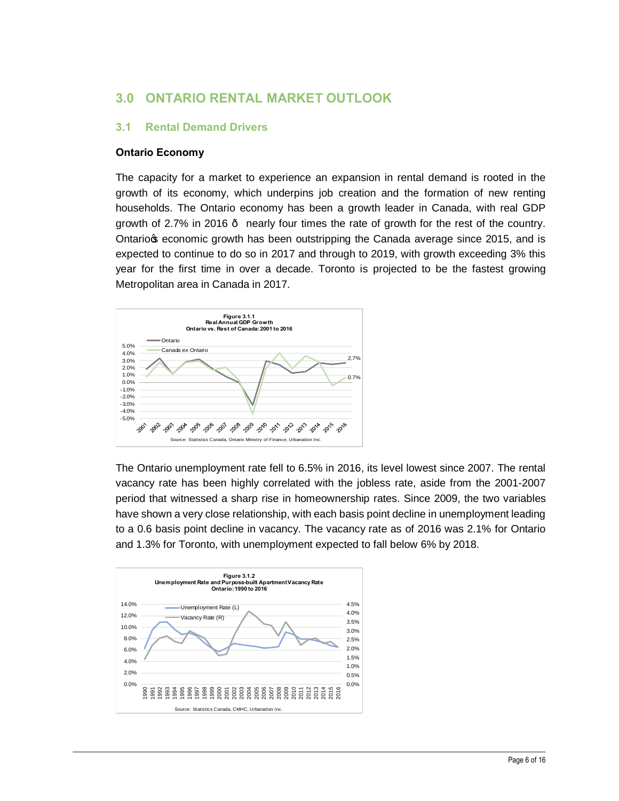# **3.0 ONTARIO RENTAL MARKET OUTLOOK**

#### **3.1 Rental Demand Drivers**

#### **Ontario Economy**

The capacity for a market to experience an expansion in rental demand is rooted in the growth of its economy, which underpins job creation and the formation of new renting households. The Ontario economy has been a growth leader in Canada, with real GDP growth of 2.7% in 2016 — nearly four times the rate of growth for the rest of the country. Ontariog economic growth has been outstripping the Canada average since 2015, and is expected to continue to do so in 2017 and through to 2019, with growth exceeding 3% this year for the first time in over a decade. Toronto is projected to be the fastest growing Metropolitan area in Canada in 2017.



The Ontario unemployment rate fell to 6.5% in 2016, its level lowest since 2007. The rental vacancy rate has been highly correlated with the jobless rate, aside from the 2001-2007 period that witnessed a sharp rise in homeownership rates. Since 2009, the two variables have shown a very close relationship, with each basis point decline in unemployment leading to a 0.6 basis point decline in vacancy. The vacancy rate as of 2016 was 2.1% for Ontario and 1.3% for Toronto, with unemployment expected to fall below 6% by 2018.

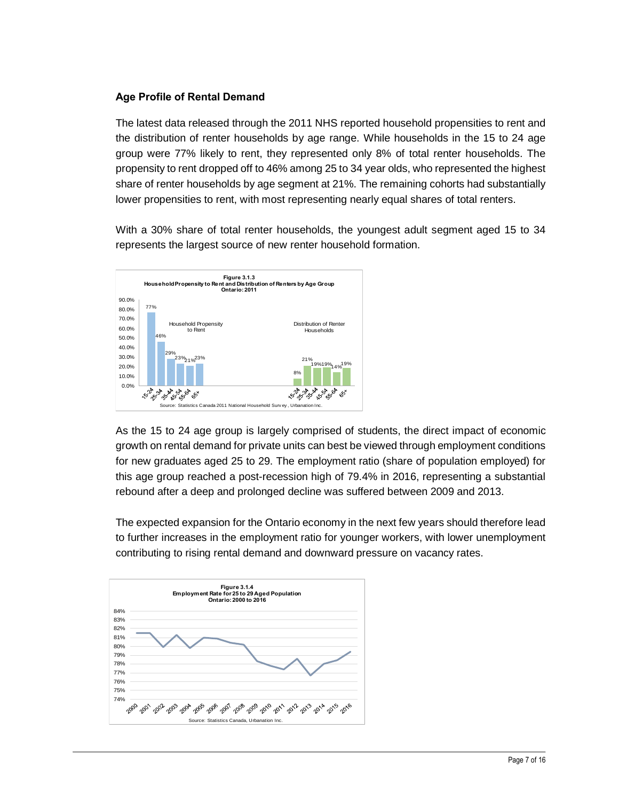#### **Age Profile of Rental Demand**

The latest data released through the 2011 NHS reported household propensities to rent and the distribution of renter households by age range. While households in the 15 to 24 age group were 77% likely to rent, they represented only 8% of total renter households. The propensity to rent dropped off to 46% among 25 to 34 year olds, who represented the highest share of renter households by age segment at 21%. The remaining cohorts had substantially lower propensities to rent, with most representing nearly equal shares of total renters.

With a 30% share of total renter households, the youngest adult segment aged 15 to 34 represents the largest source of new renter household formation.



As the 15 to 24 age group is largely comprised of students, the direct impact of economic growth on rental demand for private units can best be viewed through employment conditions for new graduates aged 25 to 29. The employment ratio (share of population employed) for this age group reached a post-recession high of 79.4% in 2016, representing a substantial rebound after a deep and prolonged decline was suffered between 2009 and 2013.

The expected expansion for the Ontario economy in the next few years should therefore lead to further increases in the employment ratio for younger workers, with lower unemployment contributing to rising rental demand and downward pressure on vacancy rates.

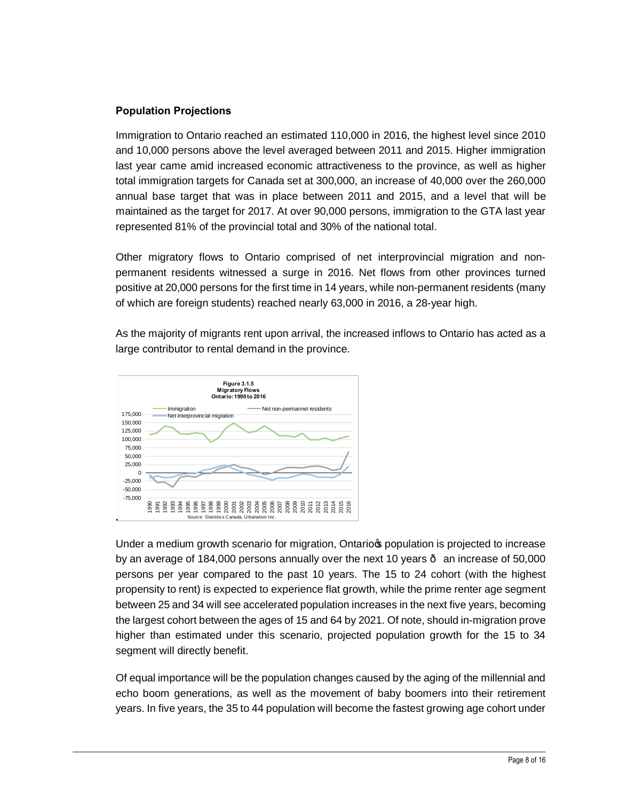#### **Population Projections**

Immigration to Ontario reached an estimated 110,000 in 2016, the highest level since 2010 and 10,000 persons above the level averaged between 2011 and 2015. Higher immigration last year came amid increased economic attractiveness to the province, as well as higher total immigration targets for Canada set at 300,000, an increase of 40,000 over the 260,000 annual base target that was in place between 2011 and 2015, and a level that will be maintained as the target for 2017. At over 90,000 persons, immigration to the GTA last year represented 81% of the provincial total and 30% of the national total.

Other migratory flows to Ontario comprised of net interprovincial migration and nonpermanent residents witnessed a surge in 2016. Net flows from other provinces turned positive at 20,000 persons for the first time in 14 years, while non-permanent residents (many of which are foreign students) reached nearly 63,000 in 2016, a 28-year high.

As the majority of migrants rent upon arrival, the increased inflows to Ontario has acted as a large contributor to rental demand in the province.



Under a medium growth scenario for migration, Ontario population is projected to increase by an average of 184,000 persons annually over the next 10 years  $\cdot$  an increase of 50,000 persons per year compared to the past 10 years. The 15 to 24 cohort (with the highest propensity to rent) is expected to experience flat growth, while the prime renter age segment between 25 and 34 will see accelerated population increases in the next five years, becoming the largest cohort between the ages of 15 and 64 by 2021. Of note, should in-migration prove higher than estimated under this scenario, projected population growth for the 15 to 34 segment will directly benefit.

Of equal importance will be the population changes caused by the aging of the millennial and echo boom generations, as well as the movement of baby boomers into their retirement years. In five years, the 35 to 44 population will become the fastest growing age cohort under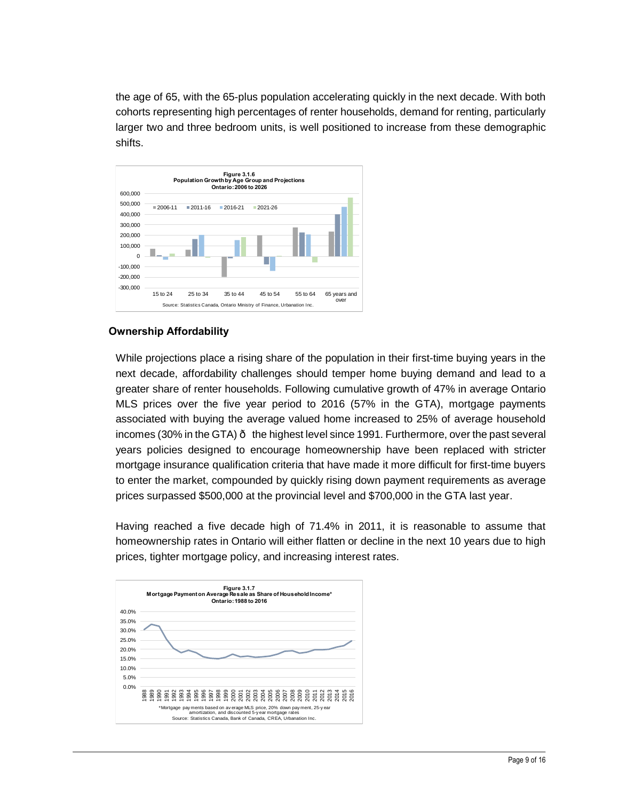the age of 65, with the 65-plus population accelerating quickly in the next decade. With both cohorts representing high percentages of renter households, demand for renting, particularly larger two and three bedroom units, is well positioned to increase from these demographic shifts.



#### **Ownership Affordability**

While projections place a rising share of the population in their first-time buying years in the next decade, affordability challenges should temper home buying demand and lead to a greater share of renter households. Following cumulative growth of 47% in average Ontario MLS prices over the five year period to 2016 (57% in the GTA), mortgage payments associated with buying the average valued home increased to 25% of average household incomes (30% in the GTA)  $\cdot$  the highest level since 1991. Furthermore, over the past several years policies designed to encourage homeownership have been replaced with stricter mortgage insurance qualification criteria that have made it more difficult for first-time buyers to enter the market, compounded by quickly rising down payment requirements as average prices surpassed \$500,000 at the provincial level and \$700,000 in the GTA last year.

Having reached a five decade high of 71.4% in 2011, it is reasonable to assume that homeownership rates in Ontario will either flatten or decline in the next 10 years due to high prices, tighter mortgage policy, and increasing interest rates.

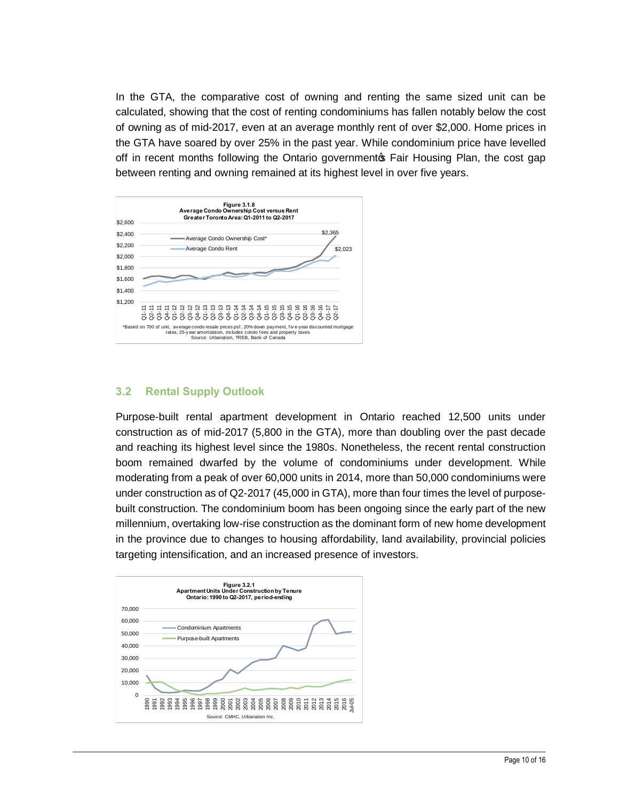In the GTA, the comparative cost of owning and renting the same sized unit can be calculated, showing that the cost of renting condominiums has fallen notably below the cost of owning as of mid-2017, even at an average monthly rent of over \$2,000. Home prices in the GTA have soared by over 25% in the past year. While condominium price have levelled off in recent months following the Ontario government of Fair Housing Plan, the cost gap between renting and owning remained at its highest level in over five years.



#### **3.2 Rental Supply Outlook**

Purpose-built rental apartment development in Ontario reached 12,500 units under construction as of mid-2017 (5,800 in the GTA), more than doubling over the past decade and reaching its highest level since the 1980s. Nonetheless, the recent rental construction boom remained dwarfed by the volume of condominiums under development. While moderating from a peak of over 60,000 units in 2014, more than 50,000 condominiums were under construction as of Q2-2017 (45,000 in GTA), more than four times the level of purposebuilt construction. The condominium boom has been ongoing since the early part of the new millennium, overtaking low-rise construction as the dominant form of new home development in the province due to changes to housing affordability, land availability, provincial policies targeting intensification, and an increased presence of investors.

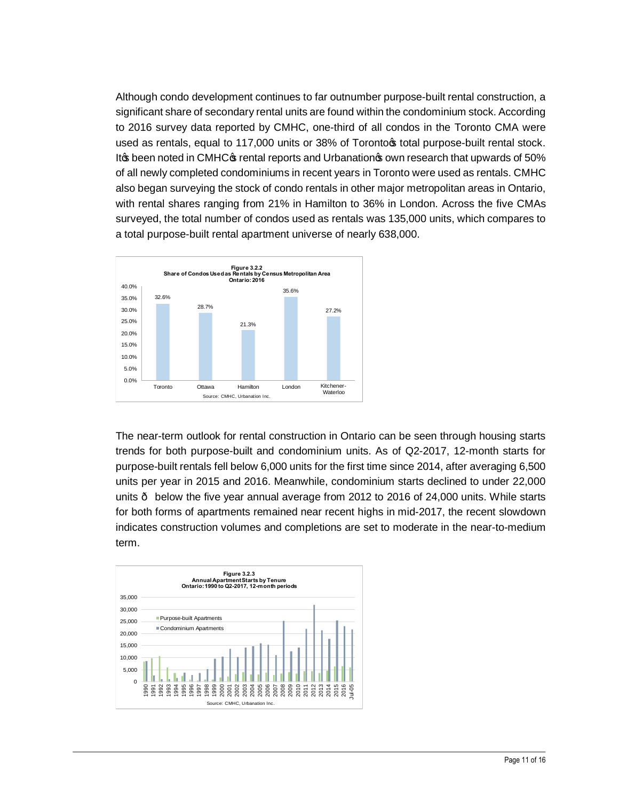Although condo development continues to far outnumber purpose-built rental construction, a significant share of secondary rental units are found within the condominium stock. According to 2016 survey data reported by CMHC, one-third of all condos in the Toronto CMA were used as rentals, equal to 117,000 units or 38% of Torontors total purpose-built rental stock. It the been noted in CMHC to rental reports and Urbanation to own research that upwards of 50% of all newly completed condominiums in recent years in Toronto were used as rentals. CMHC also began surveying the stock of condo rentals in other major metropolitan areas in Ontario, with rental shares ranging from 21% in Hamilton to 36% in London. Across the five CMAs surveyed, the total number of condos used as rentals was 135,000 units, which compares to a total purpose-built rental apartment universe of nearly 638,000.



The near-term outlook for rental construction in Ontario can be seen through housing starts trends for both purpose-built and condominium units. As of Q2-2017, 12-month starts for purpose-built rentals fell below 6,000 units for the first time since 2014, after averaging 6,500 units per year in 2015 and 2016. Meanwhile, condominium starts declined to under 22,000 units — below the five year annual average from 2012 to 2016 of 24,000 units. While starts for both forms of apartments remained near recent highs in mid-2017, the recent slowdown indicates construction volumes and completions are set to moderate in the near-to-medium term.

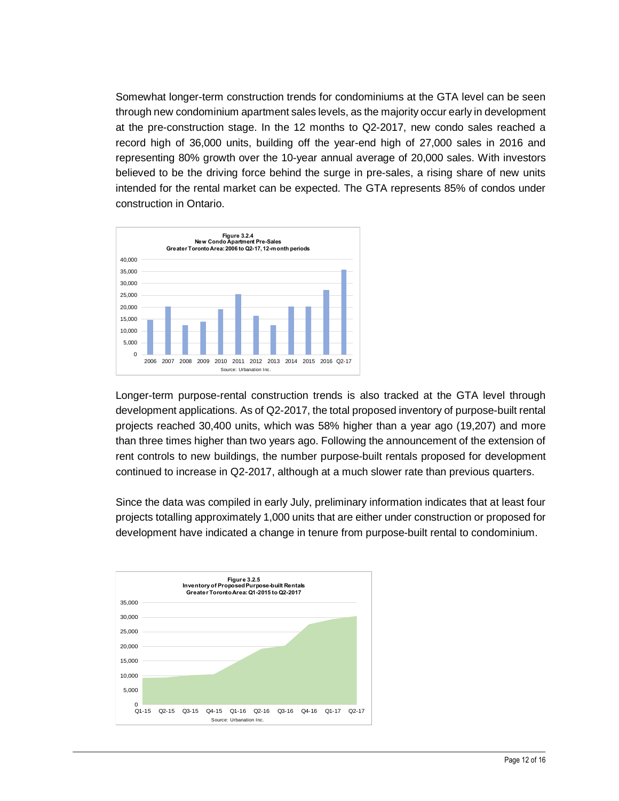Somewhat longer-term construction trends for condominiums at the GTA level can be seen through new condominium apartment sales levels, as the majority occur early in development at the pre-construction stage. In the 12 months to Q2-2017, new condo sales reached a record high of 36,000 units, building off the year-end high of 27,000 sales in 2016 and representing 80% growth over the 10-year annual average of 20,000 sales. With investors believed to be the driving force behind the surge in pre-sales, a rising share of new units intended for the rental market can be expected. The GTA represents 85% of condos under construction in Ontario.



Longer-term purpose-rental construction trends is also tracked at the GTA level through development applications. As of Q2-2017, the total proposed inventory of purpose-built rental projects reached 30,400 units, which was 58% higher than a year ago (19,207) and more than three times higher than two years ago. Following the announcement of the extension of rent controls to new buildings, the number purpose-built rentals proposed for development continued to increase in Q2-2017, although at a much slower rate than previous quarters.

Since the data was compiled in early July, preliminary information indicates that at least four projects totalling approximately 1,000 units that are either under construction or proposed for development have indicated a change in tenure from purpose-built rental to condominium.

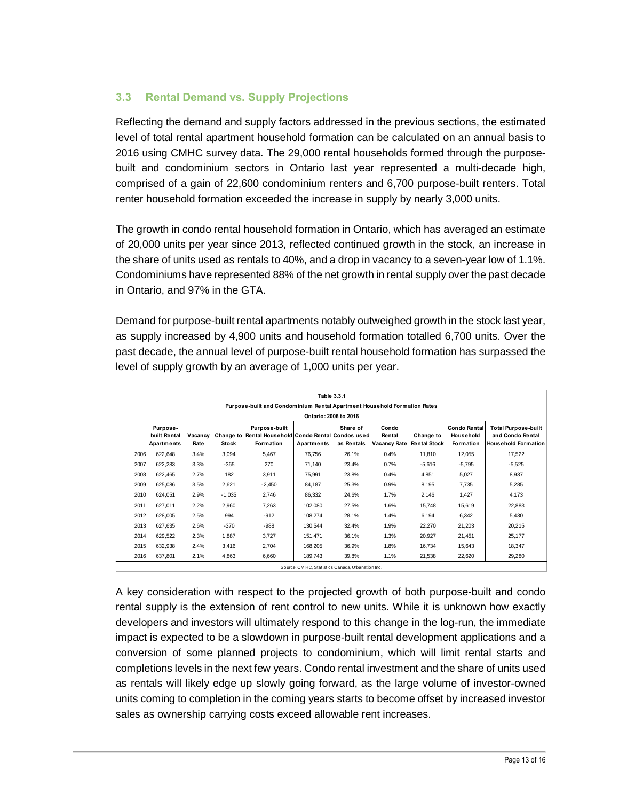#### **3.3 Rental Demand vs. Supply Projections**

Reflecting the demand and supply factors addressed in the previous sections, the estimated level of total rental apartment household formation can be calculated on an annual basis to 2016 using CMHC survey data. The 29,000 rental households formed through the purposebuilt and condominium sectors in Ontario last year represented a multi-decade high, comprised of a gain of 22,600 condominium renters and 6,700 purpose-built renters. Total renter household formation exceeded the increase in supply by nearly 3,000 units.

The growth in condo rental household formation in Ontario, which has averaged an estimate of 20,000 units per year since 2013, reflected continued growth in the stock, an increase in the share of units used as rentals to 40%, and a drop in vacancy to a seven-year low of 1.1%. Condominiums have represented 88% of the net growth in rental supply over the past decade in Ontario, and 97% in the GTA.

Demand for purpose-built rental apartments notably outweighed growth in the stock last year, as supply increased by 4,900 units and household formation totalled 6,700 units. Over the past decade, the annual level of purpose-built rental household formation has surpassed the level of supply growth by an average of 1,000 units per year.

| Table 3.3.1<br>Purpose-built and Condominium Rental Apartment Household Formation Rates<br>Ontario: 2006 to 2016 |                                        |                 |          |                                                                                          |            |                        |                                        |                                  |                                                      |                                                                              |  |
|------------------------------------------------------------------------------------------------------------------|----------------------------------------|-----------------|----------|------------------------------------------------------------------------------------------|------------|------------------------|----------------------------------------|----------------------------------|------------------------------------------------------|------------------------------------------------------------------------------|--|
|                                                                                                                  | Purpose-<br>built Rental<br>Apartments | Vacancy<br>Rate | Stock    | Purpose-built<br>Change to Rental Household Condo Rental Condos used<br><b>Formation</b> | Apartments | Share of<br>as Rentals | Condo<br>Rental<br><b>Vacancy Rate</b> | Change to<br><b>Rental Stock</b> | <b>Condo Rental</b><br>Household<br><b>Formation</b> | <b>Total Purpose-built</b><br>and Condo Rental<br><b>Household Formation</b> |  |
| 2006                                                                                                             | 622,648                                | 3.4%            | 3,094    | 5,467                                                                                    | 76.756     | 26.1%                  | 0.4%                                   | 11,810                           | 12,055                                               | 17,522                                                                       |  |
| 2007                                                                                                             | 622,283                                | 3.3%            | $-365$   | 270                                                                                      | 71,140     | 23.4%                  | 0.7%                                   | $-5,616$                         | $-5,795$                                             | $-5,525$                                                                     |  |
| 2008                                                                                                             | 622,465                                | 2.7%            | 182      | 3,911                                                                                    | 75,991     | 23.8%                  | 0.4%                                   | 4,851                            | 5,027                                                | 8,937                                                                        |  |
| 2009                                                                                                             | 625,086                                | 3.5%            | 2,621    | $-2,450$                                                                                 | 84,187     | 25.3%                  | 0.9%                                   | 8,195                            | 7,735                                                | 5,285                                                                        |  |
| 2010                                                                                                             | 624,051                                | 2.9%            | $-1,035$ | 2,746                                                                                    | 86,332     | 24.6%                  | 1.7%                                   | 2,146                            | 1,427                                                | 4,173                                                                        |  |
| 2011                                                                                                             | 627,011                                | 2.2%            | 2,960    | 7,263                                                                                    | 102,080    | 27.5%                  | 1.6%                                   | 15,748                           | 15,619                                               | 22,883                                                                       |  |
| 2012                                                                                                             | 628,005                                | 2.5%            | 994      | $-912$                                                                                   | 108,274    | 28.1%                  | 1.4%                                   | 6,194                            | 6,342                                                | 5,430                                                                        |  |
| 2013                                                                                                             | 627,635                                | 2.6%            | $-370$   | $-988$                                                                                   | 130,544    | 32.4%                  | 1.9%                                   | 22,270                           | 21,203                                               | 20,215                                                                       |  |
| 2014                                                                                                             | 629,522                                | 2.3%            | 1,887    | 3,727                                                                                    | 151,471    | 36.1%                  | 1.3%                                   | 20,927                           | 21,451                                               | 25,177                                                                       |  |
| 2015                                                                                                             | 632,938                                | 2.4%            | 3.416    | 2.704                                                                                    | 168.205    | 36.9%                  | 1.8%                                   | 16.734                           | 15.643                                               | 18,347                                                                       |  |
| 2016                                                                                                             | 637,801                                | 2.1%            | 4,863    | 6,660                                                                                    | 189,743    | 39.8%                  | 1.1%                                   | 21,538                           | 22,620                                               | 29,280                                                                       |  |

Source: CM HC, Statistics Canada, Urbanation Inc.

A key consideration with respect to the projected growth of both purpose-built and condo rental supply is the extension of rent control to new units. While it is unknown how exactly developers and investors will ultimately respond to this change in the log-run, the immediate impact is expected to be a slowdown in purpose-built rental development applications and a conversion of some planned projects to condominium, which will limit rental starts and completions levels in the next few years. Condo rental investment and the share of units used as rentals will likely edge up slowly going forward, as the large volume of investor-owned units coming to completion in the coming years starts to become offset by increased investor sales as ownership carrying costs exceed allowable rent increases.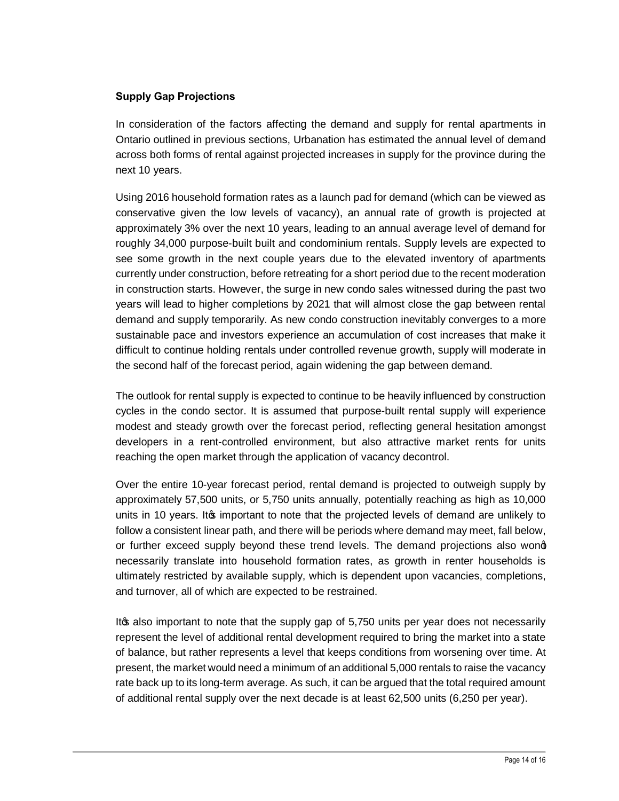#### **Supply Gap Projections**

In consideration of the factors affecting the demand and supply for rental apartments in Ontario outlined in previous sections, Urbanation has estimated the annual level of demand across both forms of rental against projected increases in supply for the province during the next 10 years.

Using 2016 household formation rates as a launch pad for demand (which can be viewed as conservative given the low levels of vacancy), an annual rate of growth is projected at approximately 3% over the next 10 years, leading to an annual average level of demand for roughly 34,000 purpose-built built and condominium rentals. Supply levels are expected to see some growth in the next couple years due to the elevated inventory of apartments currently under construction, before retreating for a short period due to the recent moderation in construction starts. However, the surge in new condo sales witnessed during the past two years will lead to higher completions by 2021 that will almost close the gap between rental demand and supply temporarily. As new condo construction inevitably converges to a more sustainable pace and investors experience an accumulation of cost increases that make it difficult to continue holding rentals under controlled revenue growth, supply will moderate in the second half of the forecast period, again widening the gap between demand.

The outlook for rental supply is expected to continue to be heavily influenced by construction cycles in the condo sector. It is assumed that purpose-built rental supply will experience modest and steady growth over the forecast period, reflecting general hesitation amongst developers in a rent-controlled environment, but also attractive market rents for units reaching the open market through the application of vacancy decontrol.

Over the entire 10-year forecast period, rental demand is projected to outweigh supply by approximately 57,500 units, or 5,750 units annually, potentially reaching as high as 10,000 units in 10 years. It to important to note that the projected levels of demand are unlikely to follow a consistent linear path, and there will be periods where demand may meet, fall below, or further exceed supply beyond these trend levels. The demand projections also wond necessarily translate into household formation rates, as growth in renter households is ultimately restricted by available supply, which is dependent upon vacancies, completions, and turnover, all of which are expected to be restrained.

It as also important to note that the supply gap of 5,750 units per year does not necessarily represent the level of additional rental development required to bring the market into a state of balance, but rather represents a level that keeps conditions from worsening over time. At present, the market would need a minimum of an additional 5,000 rentals to raise the vacancy rate back up to its long-term average. As such, it can be argued that the total required amount of additional rental supply over the next decade is at least 62,500 units (6,250 per year).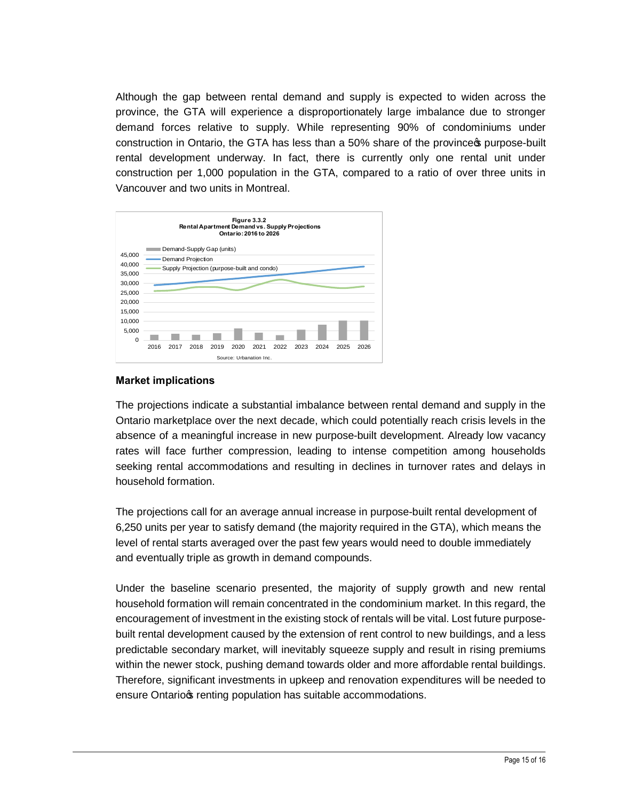Although the gap between rental demand and supply is expected to widen across the province, the GTA will experience a disproportionately large imbalance due to stronger demand forces relative to supply. While representing 90% of condominiums under construction in Ontario, the GTA has less than a 50% share of the province to purpose-built rental development underway. In fact, there is currently only one rental unit under construction per 1,000 population in the GTA, compared to a ratio of over three units in Vancouver and two units in Montreal.



#### **Market implications**

The projections indicate a substantial imbalance between rental demand and supply in the Ontario marketplace over the next decade, which could potentially reach crisis levels in the absence of a meaningful increase in new purpose-built development. Already low vacancy rates will face further compression, leading to intense competition among households seeking rental accommodations and resulting in declines in turnover rates and delays in household formation.

The projections call for an average annual increase in purpose-built rental development of 6,250 units per year to satisfy demand (the majority required in the GTA), which means the level of rental starts averaged over the past few years would need to double immediately and eventually triple as growth in demand compounds.

Under the baseline scenario presented, the majority of supply growth and new rental household formation will remain concentrated in the condominium market. In this regard, the encouragement of investment in the existing stock of rentals will be vital. Lost future purposebuilt rental development caused by the extension of rent control to new buildings, and a less predictable secondary market, will inevitably squeeze supply and result in rising premiums within the newer stock, pushing demand towards older and more affordable rental buildings. Therefore, significant investments in upkeep and renovation expenditures will be needed to ensure Ontariors renting population has suitable accommodations.